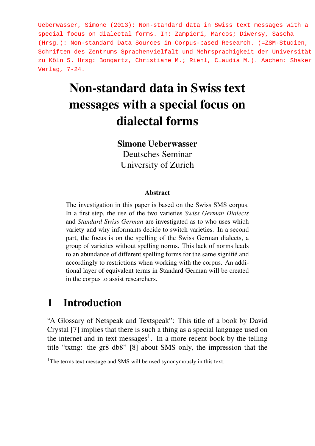Ueberwasser, Simone (2013): Non-standard data in Swiss text messages with a special focus on dialectal forms. In: Zampieri, Marcos; Diwersy, Sascha (Hrsg.): Non-standard Data Sources in Corpus-based Research. (=ZSM-Studien, Schriften des Zentrums Sprachenvielfalt und Mehrsprachigkeit der Universität zu Köln 5. Hrsg: Bongartz, Christiane M.; Riehl, Claudia M.). Aachen: Shaker Verlag, 7-24.

# Non-standard data in Swiss text messages with a special focus on dialectal forms

#### Simone Ueberwasser

Deutsches Seminar University of Zurich

#### Abstract

The investigation in this paper is based on the Swiss SMS corpus. In a first step, the use of the two varieties *Swiss German Dialects* and *Standard Swiss German* are investigated as to who uses which variety and why informants decide to switch varieties. In a second part, the focus is on the spelling of the Swiss German dialects, a group of varieties without spelling norms. This lack of norms leads to an abundance of different spelling forms for the same signifié and accordingly to restrictions when working with the corpus. An additional layer of equivalent terms in Standard German will be created in the corpus to assist researchers.

### 1 Introduction

"A Glossary of Netspeak and Textspeak": This title of a book by David Crystal [7] implies that there is such a thing as a special language used on the internet and in text messages<sup>1</sup>. In a more recent book by the telling title "txtng: the gr8 db8" [8] about SMS only, the impression that the

<sup>&</sup>lt;sup>1</sup>The terms text message and SMS will be used synonymously in this text.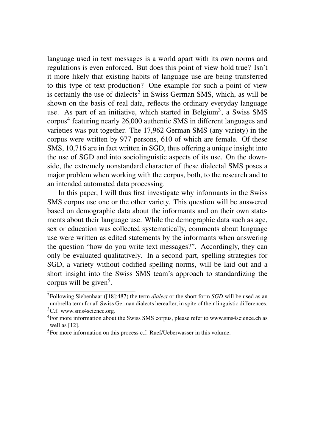language used in text messages is a world apart with its own norms and regulations is even enforced. But does this point of view hold true? Isn't it more likely that existing habits of language use are being transferred to this type of text production? One example for such a point of view is certainly the use of dialects<sup>2</sup> in Swiss German SMS, which, as will be shown on the basis of real data, reflects the ordinary everyday language use. As part of an initiative, which started in Belgium<sup>3</sup>, a Swiss SMS corpus<sup>4</sup> featuring nearly 26,000 authentic SMS in different languages and varieties was put together. The 17,962 German SMS (any variety) in the corpus were written by 977 persons, 610 of which are female. Of these SMS, 10,716 are in fact written in SGD, thus offering a unique insight into the use of SGD and into sociolinguistic aspects of its use. On the downside, the extremely nonstandard character of these dialectal SMS poses a major problem when working with the corpus, both, to the research and to an intended automated data processing.

In this paper, I will thus first investigate why informants in the Swiss SMS corpus use one or the other variety. This question will be answered based on demographic data about the informants and on their own statements about their language use. While the demographic data such as age, sex or education was collected systematically, comments about language use were written as edited statements by the informants when answering the question "how do you write text messages?". Accordingly, they can only be evaluated qualitatively. In a second part, spelling strategies for SGD, a variety without codified spelling norms, will be laid out and a short insight into the Swiss SMS team's approach to standardizing the corpus will be given<sup>5</sup>.

<sup>2</sup>Following Siebenhaar ([18]:487) the term *dialect* or the short form *SGD* will be used as an umbrella term for all Swiss German dialects hereafter, in spite of their linguistic differences. <sup>3</sup>C.f. www.sms4science.org.

<sup>4</sup>For more information about the Swiss SMS corpus, please refer to www.sms4science.ch as well as [12].

<sup>5</sup>For more information on this process c.f. Ruef/Ueberwasser in this volume.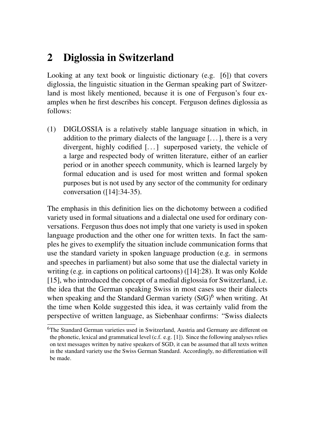# 2 Diglossia in Switzerland

Looking at any text book or linguistic dictionary (e.g. [6]) that covers diglossia, the linguistic situation in the German speaking part of Switzerland is most likely mentioned, because it is one of Ferguson's four examples when he first describes his concept. Ferguson defines diglossia as follows:

(1) DIGLOSSIA is a relatively stable language situation in which, in addition to the primary dialects of the language  $[\,\ldots\,]$ , there is a very divergent, highly codified [...] superposed variety, the vehicle of a large and respected body of written literature, either of an earlier period or in another speech community, which is learned largely by formal education and is used for most written and formal spoken purposes but is not used by any sector of the community for ordinary conversation ([14]:34-35).

The emphasis in this definition lies on the dichotomy between a codified variety used in formal situations and a dialectal one used for ordinary conversations. Ferguson thus does not imply that one variety is used in spoken language production and the other one for written texts. In fact the samples he gives to exemplify the situation include communication forms that use the standard variety in spoken language production (e.g. in sermons and speeches in parliament) but also some that use the dialectal variety in writing (e.g. in captions on political cartoons) ([14]:28). It was only Kolde [15], who introduced the concept of a medial diglossia for Switzerland, i.e. the idea that the German speaking Swiss in most cases use their dialects when speaking and the Standard German variety  $(StG)^6$  when writing. At the time when Kolde suggested this idea, it was certainly valid from the perspective of written language, as Siebenhaar confirms: "Swiss dialects

<sup>6</sup>The Standard German varieties used in Switzerland, Austria and Germany are different on the phonetic, lexical and grammatical level (c.f. e.g. [1]). Since the following analyses relies on text messages written by native speakers of SGD, it can be assumed that all texts written in the standard variety use the Swiss German Standard. Accordingly, no differentiation will be made.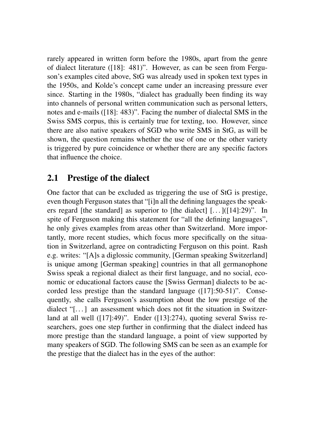rarely appeared in written form before the 1980s, apart from the genre of dialect literature ([18]: 481)". However, as can be seen from Ferguson's examples cited above, StG was already used in spoken text types in the 1950s, and Kolde's concept came under an increasing pressure ever since. Starting in the 1980s, "dialect has gradually been finding its way into channels of personal written communication such as personal letters, notes and e-mails ([18]: 483)". Facing the number of dialectal SMS in the Swiss SMS corpus, this is certainly true for texting, too. However, since there are also native speakers of SGD who write SMS in StG, as will be shown, the question remains whether the use of one or the other variety is triggered by pure coincidence or whether there are any specific factors that influence the choice.

### 2.1 Prestige of the dialect

One factor that can be excluded as triggering the use of StG is prestige, even though Ferguson states that "[i]n all the defining languages the speakers regard [the standard] as superior to [the dialect]  $[...]$   $(14]$ :29)". In spite of Ferguson making this statement for "all the defining languages", he only gives examples from areas other than Switzerland. More importantly, more recent studies, which focus more specifically on the situation in Switzerland, agree on contradicting Ferguson on this point. Rash e.g. writes: "[A]s a diglossic community, [German speaking Switzerland] is unique among [German speaking] countries in that all germanophone Swiss speak a regional dialect as their first language, and no social, economic or educational factors cause the [Swiss German] dialects to be accorded less prestige than the standard language ([17]:50-51)". Consequently, she calls Ferguson's assumption about the low prestige of the dialect "[...] an assessment which does not fit the situation in Switzerland at all well ([17]:49)". Ender ([13]:274), quoting several Swiss researchers, goes one step further in confirming that the dialect indeed has more prestige than the standard language, a point of view supported by many speakers of SGD. The following SMS can be seen as an example for the prestige that the dialect has in the eyes of the author: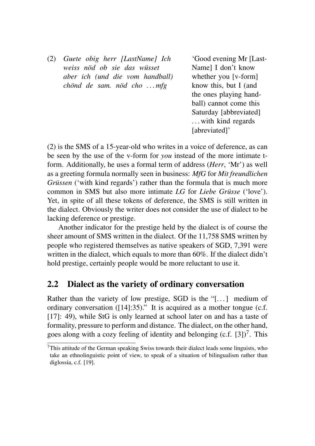(2) *Guete obig herr [LastName] Ich weiss nöd ob sie das wüsset aber ich (und die vom handball) chönd de sam. nöd cho . . . mfg*

'Good evening Mr [Last-Name] I don't know whether you [v-form] know this, but I (and the ones playing handball) cannot come this Saturday [abbreviated] . . . with kind regards [abreviated]'

(2) is the SMS of a 15-year-old who writes in a voice of deference, as can be seen by the use of the v-form for *you* instead of the more intimate tform. Additionally, he uses a formal term of address (*Herr*, 'Mr') as well as a greeting formula normally seen in business: *MfG* for *Mit freundlichen Grüssen* ('with kind regards') rather than the formula that is much more common in SMS but also more intimate *LG* for *Liebe Grüsse* ('love'). Yet, in spite of all these tokens of deference, the SMS is still written in the dialect. Obviously the writer does not consider the use of dialect to be lacking deference or prestige.

Another indicator for the prestige held by the dialect is of course the sheer amount of SMS written in the dialect. Of the 11,758 SMS written by people who registered themselves as native speakers of SGD, 7,391 were written in the dialect, which equals to more than 60%. If the dialect didn't hold prestige, certainly people would be more reluctant to use it.

#### 2.2 Dialect as the variety of ordinary conversation

Rather than the variety of low prestige, SGD is the "[ $\dots$ ] medium of ordinary conversation ([14]:35)." It is acquired as a mother tongue (c.f. [17]: 49), while StG is only learned at school later on and has a taste of formality, pressure to perform and distance. The dialect, on the other hand, goes along with a cozy feeling of identity and belonging  $(c.f. [3])^7$ . This

<sup>7</sup>This attitude of the German speaking Swiss towards their dialect leads some linguists, who take an ethnolinguistic point of view, to speak of a situation of bilingualism rather than diglossia, c.f. [19].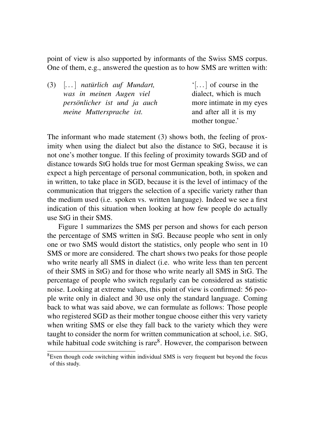point of view is also supported by informants of the Swiss SMS corpus. One of them, e.g., answered the question as to how SMS are written with:

| $(3)$ $\left[ \ldots \right]$ natürlich auf Mundart, | $\lceil \dots \rceil$ of course in the |
|------------------------------------------------------|----------------------------------------|
| was in meinen Augen viel                             | dialect, which is much                 |
| persönlicher ist und ja auch                         | more intimate in my eyes               |
| meine Muttersprache ist.                             | and after all it is my                 |
|                                                      | mother tongue.'                        |

The informant who made statement (3) shows both, the feeling of proximity when using the dialect but also the distance to StG, because it is not one's mother tongue. If this feeling of proximity towards SGD and of distance towards StG holds true for most German speaking Swiss, we can expect a high percentage of personal communication, both, in spoken and in written, to take place in SGD, because it is the level of intimacy of the communication that triggers the selection of a specific variety rather than the medium used (i.e. spoken vs. written language). Indeed we see a first indication of this situation when looking at how few people do actually use StG in their SMS.

Figure 1 summarizes the SMS per person and shows for each person the percentage of SMS written in StG. Because people who sent in only one or two SMS would distort the statistics, only people who sent in 10 SMS or more are considered. The chart shows two peaks for those people who write nearly all SMS in dialect (i.e. who write less than ten percent of their SMS in StG) and for those who write nearly all SMS in StG. The percentage of people who switch regularly can be considered as statistic noise. Looking at extreme values, this point of view is confirmed: 56 people write only in dialect and 30 use only the standard language. Coming back to what was said above, we can formulate as follows: Those people who registered SGD as their mother tongue choose either this very variety when writing SMS or else they fall back to the variety which they were taught to consider the norm for written communication at school, i.e. StG, while habitual code switching is rare $8$ . However, the comparison between

 $8$ Even though code switching within individual SMS is very frequent but beyond the focus of this study.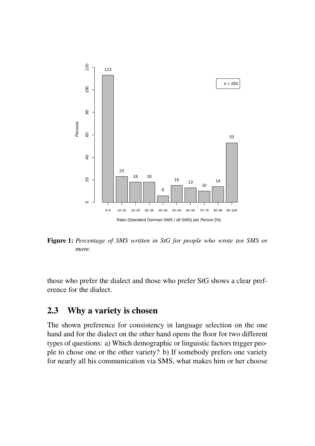

Figure 1: *Percentage of SMS written in StG for people who wrote ten SMS or more.*

those who prefer the dialect and those who prefer StG shows a clear preference for the dialect.

### 2.3 Why a variety is chosen

The shown preference for consistency in language selection on the one hand and for the dialect on the other hand opens the floor for two different types of questions: a) Which demographic or linguistic factors trigger people to chose one or the other variety? b) If somebody prefers one variety for nearly all his communication via SMS, what makes him or her choose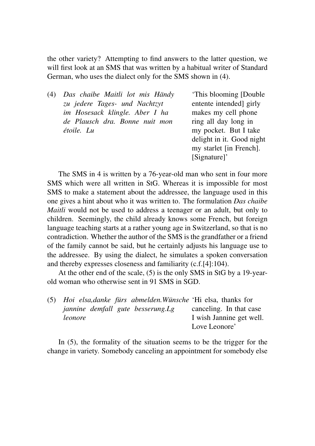the other variety? Attempting to find answers to the latter question, we will first look at an SMS that was written by a habitual writer of Standard German, who uses the dialect only for the SMS shown in (4).

(4) *Das chaibe Maitli lot mis Händy zu jedere Tages- und Nachtzyt im Hosesack klingle. Aber I ha de Plausch dra. Bonne nuit mon étoile. Lu*

'This blooming [Double entente intended] girly makes my cell phone ring all day long in my pocket. But I take delight in it. Good night my starlet [in French]. [Signature]'

The SMS in 4 is written by a 76-year-old man who sent in four more SMS which were all written in StG. Whereas it is impossible for most SMS to make a statement about the addressee, the language used in this one gives a hint about who it was written to. The formulation *Das chaibe Maitli* would not be used to address a teenager or an adult, but only to children. Seemingly, the child already knows some French, but foreign language teaching starts at a rather young age in Switzerland, so that is no contradiction. Whether the author of the SMS is the grandfather or a friend of the family cannot be said, but he certainly adjusts his language use to the addressee. By using the dialect, he simulates a spoken conversation and thereby expresses closeness and familiarity (c.f.[4]:104).

At the other end of the scale, (5) is the only SMS in StG by a 19-yearold woman who otherwise sent in 91 SMS in SGD.

| (5) |         |                                          | Hoi elsa, danke fürs abmelden. Wünsche 'Hi elsa, thanks for |
|-----|---------|------------------------------------------|-------------------------------------------------------------|
|     |         | <i>jannine demfall gute besserung.Lg</i> | canceling. In that case                                     |
|     | leonore |                                          | I wish Jannine get well.                                    |
|     |         |                                          | Love Leonore'                                               |

In (5), the formality of the situation seems to be the trigger for the change in variety. Somebody canceling an appointment for somebody else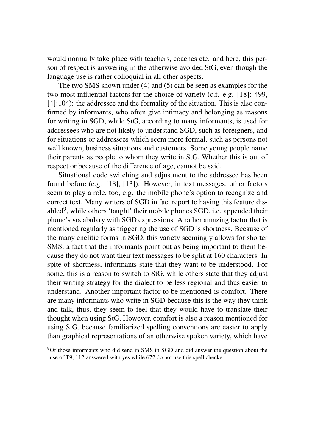would normally take place with teachers, coaches etc. and here, this person of respect is answering in the otherwise avoided StG, even though the language use is rather colloquial in all other aspects.

The two SMS shown under (4) and (5) can be seen as examples for the two most influential factors for the choice of variety (c.f. e.g. [18]: 499, [4]:104): the addressee and the formality of the situation. This is also confirmed by informants, who often give intimacy and belonging as reasons for writing in SGD, while StG, according to many informants, is used for addressees who are not likely to understand SGD, such as foreigners, and for situations or addressees which seem more formal, such as persons not well known, business situations and customers. Some young people name their parents as people to whom they write in StG. Whether this is out of respect or because of the difference of age, cannot be said.

Situational code switching and adjustment to the addressee has been found before (e.g. [18], [13]). However, in text messages, other factors seem to play a role, too, e.g. the mobile phone's option to recognize and correct text. Many writers of SGD in fact report to having this feature disabled<sup>9</sup>, while others 'taught' their mobile phones SGD, i.e. appended their phone's vocabulary with SGD expressions. A rather amazing factor that is mentioned regularly as triggering the use of SGD is shortness. Because of the many enclitic forms in SGD, this variety seemingly allows for shorter SMS, a fact that the informants point out as being important to them because they do not want their text messages to be split at 160 characters. In spite of shortness, informants state that they want to be understood. For some, this is a reason to switch to StG, while others state that they adjust their writing strategy for the dialect to be less regional and thus easier to understand. Another important factor to be mentioned is comfort. There are many informants who write in SGD because this is the way they think and talk, thus, they seem to feel that they would have to translate their thought when using StG. However, comfort is also a reason mentioned for using StG, because familiarized spelling conventions are easier to apply than graphical representations of an otherwise spoken variety, which have

<sup>&</sup>lt;sup>9</sup>Of those informants who did send in SMS in SGD and did answer the question about the use of T9, 112 answered with yes while 672 do not use this spell checker.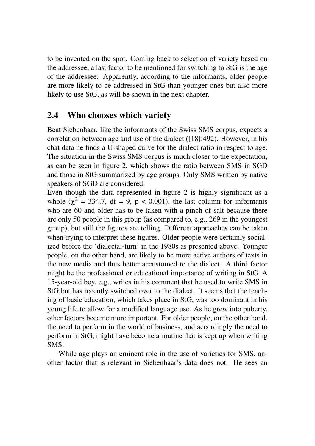to be invented on the spot. Coming back to selection of variety based on the addressee, a last factor to be mentioned for switching to StG is the age of the addressee. Apparently, according to the informants, older people are more likely to be addressed in StG than younger ones but also more likely to use StG, as will be shown in the next chapter.

#### 2.4 Who chooses which variety

Beat Siebenhaar, like the informants of the Swiss SMS corpus, expects a correlation between age and use of the dialect ([18]:492). However, in his chat data he finds a U-shaped curve for the dialect ratio in respect to age. The situation in the Swiss SMS corpus is much closer to the expectation, as can be seen in figure 2, which shows the ratio between SMS in SGD and those in StG summarized by age groups. Only SMS written by native speakers of SGD are considered.

Even though the data represented in figure 2 is highly significant as a whole ( $\chi^2$  = 334.7, df = 9, p < 0.001), the last column for informants who are 60 and older has to be taken with a pinch of salt because there are only 50 people in this group (as compared to, e.g., 269 in the youngest group), but still the figures are telling. Different approaches can be taken when trying to interpret these figures. Older people were certainly socialized before the 'dialectal-turn' in the 1980s as presented above. Younger people, on the other hand, are likely to be more active authors of texts in the new media and thus better accustomed to the dialect. A third factor might be the professional or educational importance of writing in StG. A 15-year-old boy, e.g., writes in his comment that he used to write SMS in StG but has recently switched over to the dialect. It seems that the teaching of basic education, which takes place in StG, was too dominant in his young life to allow for a modified language use. As he grew into puberty, other factors became more important. For older people, on the other hand, the need to perform in the world of business, and accordingly the need to perform in StG, might have become a routine that is kept up when writing SMS.

While age plays an eminent role in the use of varieties for SMS, another factor that is relevant in Siebenhaar's data does not. He sees an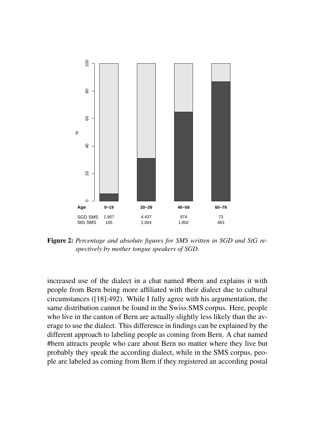

Figure 2: *Percentage and absolute figures for SMS written in SGD and StG respectively by mother tongue speakers of SGD.*

increased use of the dialect in a chat named #bern and explains it with people from Bern being more affiliated with their dialect due to cultural circumstances ([18]:492). While I fully agree with his argumentation, the same distribution cannot be found in the Swiss SMS corpus. Here, people who live in the canton of Bern are actually slightly less likely than the average to use the dialect. This difference in findings can be explained by the different approach to labeling people as coming from Bern. A chat named #bern attracts people who care about Bern no matter where they live but probably they speak the according dialect, while in the SMS corpus, people are labeled as coming from Bern if they registered an according postal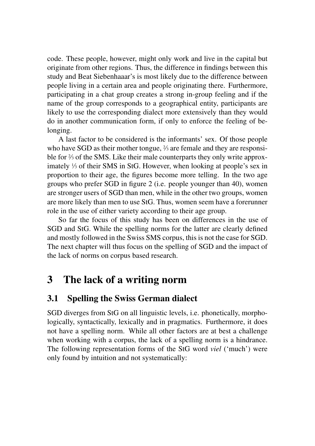code. These people, however, might only work and live in the capital but originate from other regions. Thus, the difference in findings between this study and Beat Siebenhaaar's is most likely due to the difference between people living in a certain area and people originating there. Furthermore, participating in a chat group creates a strong in-group feeling and if the name of the group corresponds to a geographical entity, participants are likely to use the corresponding dialect more extensively than they would do in another communication form, if only to enforce the feeling of belonging.

A last factor to be considered is the informants' sex. Of those people who have SGD as their mother tongue,  $\frac{3}{3}$  are female and they are responsible for <sup>2</sup> ⁄<sup>3</sup> of the SMS. Like their male counterparts they only write approximately <sup>1</sup> ⁄<sup>3</sup> of their SMS in StG. However, when looking at people's sex in proportion to their age, the figures become more telling. In the two age groups who prefer SGD in figure 2 (i.e. people younger than 40), women are stronger users of SGD than men, while in the other two groups, women are more likely than men to use StG. Thus, women seem have a forerunner role in the use of either variety according to their age group.

So far the focus of this study has been on differences in the use of SGD and StG. While the spelling norms for the latter are clearly defined and mostly followed in the Swiss SMS corpus, this is not the case for SGD. The next chapter will thus focus on the spelling of SGD and the impact of the lack of norms on corpus based research.

# 3 The lack of a writing norm

### 3.1 Spelling the Swiss German dialect

SGD diverges from StG on all linguistic levels, i.e. phonetically, morphologically, syntactically, lexically and in pragmatics. Furthermore, it does not have a spelling norm. While all other factors are at best a challenge when working with a corpus, the lack of a spelling norm is a hindrance. The following representation forms of the StG word *viel* ('much') were only found by intuition and not systematically: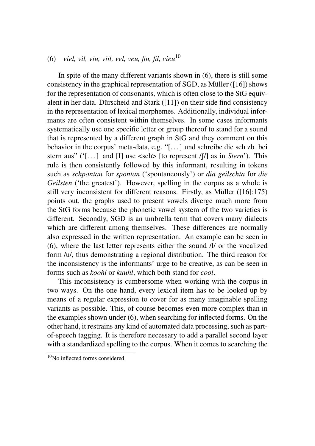#### (6) *viel, vil, viu, viil, vel, veu, fiu, fil, vieu*<sup>10</sup>

In spite of the many different variants shown in (6), there is still some consistency in the graphical representation of SGD, as Müller ([16]) shows for the representation of consonants, which is often close to the StG equivalent in her data. Dürscheid and Stark ([11]) on their side find consistency in the representation of lexical morphemes. Additionally, individual informants are often consistent within themselves. In some cases informants systematically use one specific letter or group thereof to stand for a sound that is represented by a different graph in StG and they comment on this behavior in the corpus' meta-data, e.g. "[. . . ] und schreibe die sch zb. bei stern aus" ('[...] and [I] use <sch> [to represent  $/$ [ $/$ ] as in *Stern*'). This rule is then consistently followed by this informant, resulting in tokens such as *schpontan* for *spontan* ('spontaneously') or *dia geilschta* for *die Geilsten* ('the greatest'). However, spelling in the corpus as a whole is still very inconsistent for different reasons. Firstly, as Müller ([16]:175) points out, the graphs used to present vowels diverge much more from the StG forms because the phonetic vowel system of the two varieties is different. Secondly, SGD is an umbrella term that covers many dialects which are different among themselves. These differences are normally also expressed in the written representation. An example can be seen in (6), where the last letter represents either the sound /l/ or the vocalized form /u/, thus demonstrating a regional distribution. The third reason for the inconsistency is the informants' urge to be creative, as can be seen in forms such as *koohl* or *kuuhl*, which both stand for *cool*.

This inconsistency is cumbersome when working with the corpus in two ways. On the one hand, every lexical item has to be looked up by means of a regular expression to cover for as many imaginable spelling variants as possible. This, of course becomes even more complex than in the examples shown under (6), when searching for inflected forms. On the other hand, it restrains any kind of automated data processing, such as partof-speech tagging. It is therefore necessary to add a parallel second layer with a standardized spelling to the corpus. When it comes to searching the

 $\frac{10}{N_Q}$  inflected forms considered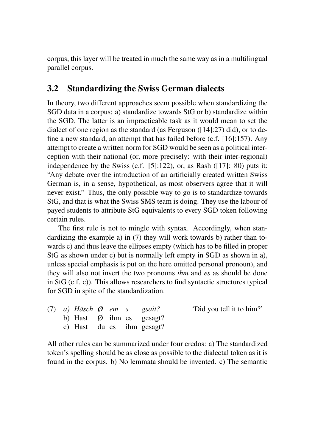corpus, this layer will be treated in much the same way as in a multilingual parallel corpus.

### 3.2 Standardizing the Swiss German dialects

In theory, two different approaches seem possible when standardizing the SGD data in a corpus: a) standardize towards StG or b) standardize within the SGD. The latter is an impracticable task as it would mean to set the dialect of one region as the standard (as Ferguson ([14]:27) did), or to define a new standard, an attempt that has failed before (c.f. [16]:157). Any attempt to create a written norm for SGD would be seen as a political interception with their national (or, more precisely: with their inter-regional) independence by the Swiss (c.f. [5]:122), or, as Rash ([17]: 80) puts it: "Any debate over the introduction of an artificially created written Swiss German is, in a sense, hypothetical, as most observers agree that it will never exist." Thus, the only possible way to go is to standardize towards StG, and that is what the Swiss SMS team is doing. They use the labour of payed students to attribute StG equivalents to every SGD token following certain rules.

The first rule is not to mingle with syntax. Accordingly, when standardizing the example a) in (7) they will work towards b) rather than towards c) and thus leave the ellipses empty (which has to be filled in proper StG as shown under c) but is normally left empty in SGD as shown in a), unless special emphasis is put on the here omitted personal pronoun), and they will also not invert the two pronouns *ihm* and *es* as should be done in StG (c.f. c)). This allows researchers to find syntactic structures typical for SGD in spite of the standardization.

|  | (7) a) Häsch Ø em s gsait? |  |                                      | 'Did you tell it to him?' |
|--|----------------------------|--|--------------------------------------|---------------------------|
|  |                            |  | b) Hast $\varnothing$ ihm es gesagt? |                           |
|  |                            |  | c) Hast du es ihm gesagt?            |                           |

All other rules can be summarized under four credos: a) The standardized token's spelling should be as close as possible to the dialectal token as it is found in the corpus. b) No lemmata should be invented. c) The semantic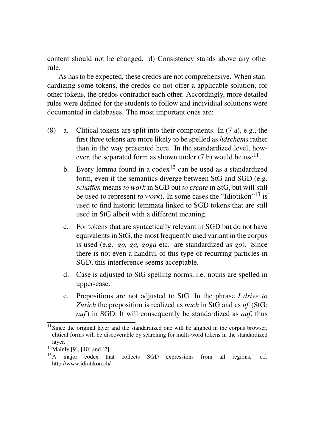content should not be changed. d) Consistency stands above any other rule.

As has to be expected, these credos are not comprehensive. When standardizing some tokens, the credos do not offer a applicable solution, for other tokens, the credos contradict each other. Accordingly, more detailed rules were defined for the students to follow and individual solutions were documented in databases. The most important ones are:

- (8) a. Clitical tokens are split into their components. In (7 a), e.g., the first three tokens are more likely to be spelled as *häschems* rather than in the way presented here. In the standardized level, however, the separated form as shown under  $(7 b)$  would be use<sup>11</sup>.
	- b. Every lemma found in a codex<sup>12</sup> can be used as a standardized form, even if the semantics diverge between StG and SGD (e.g. *schaffen* means *to work* in SGD but *to create* in StG, but will still be used to represent *to work*). In some cases the "Idiotikon"<sup>13</sup> is used to find historic lemmata linked to SGD tokens that are still used in StG albeit with a different meaning.
	- c. For tokens that are syntactically relevant in SGD but do not have equivalents in StG, the most frequently used variant in the corpus is used (e.g. *go, ga, goga* etc. are standardized as *go*). Since there is not even a handful of this type of recurring particles in SGD, this interference seems acceptable.
	- d. Case is adjusted to StG spelling norms, i.e. nouns are spelled in upper-case.
	- e. Prepositions are not adjusted to StG. In the phrase *I drive to Zurich* the preposition is realized as *nach* in StG and as *uf* (StG: *auf*) in SGD. It will consequently be standardized as *auf*, thus

<sup>&</sup>lt;sup>11</sup>Since the original layer and the standardized one will be aligned in the corpus browser, clitical forms will be discoverable by searching for multi-word tokens in the standardized layer.

<sup>12</sup>Mainly [9], [10] and [2].

<sup>&</sup>lt;sup>13</sup>A major codex that collects SGD expressions from all regions, c.f. http://www.idiotikon.ch/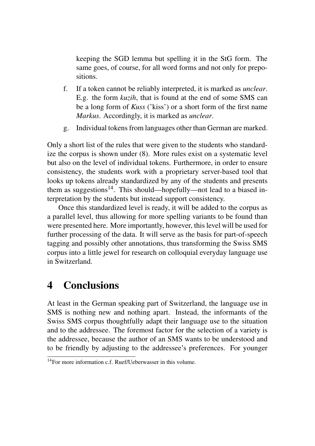keeping the SGD lemma but spelling it in the StG form. The same goes, of course, for all word forms and not only for prepositions.

- f. If a token cannot be reliably interpreted, it is marked as *unclear*. E.g. the form *kuzih*, that is found at the end of some SMS can be a long form of *Kuss* ('kiss') or a short form of the first name *Markus*. Accordingly, it is marked as *unclear*.
- g. Individual tokens from languages other than German are marked.

Only a short list of the rules that were given to the students who standardize the corpus is shown under (8). More rules exist on a systematic level but also on the level of individual tokens. Furthermore, in order to ensure consistency, the students work with a proprietary server-based tool that looks up tokens already standardized by any of the students and presents them as suggestions<sup>14</sup>. This should—hopefully—not lead to a biased interpretation by the students but instead support consistency.

Once this standardized level is ready, it will be added to the corpus as a parallel level, thus allowing for more spelling variants to be found than were presented here. More importantly, however, this level will be used for further processing of the data. It will serve as the basis for part-of-speech tagging and possibly other annotations, thus transforming the Swiss SMS corpus into a little jewel for research on colloquial everyday language use in Switzerland.

# 4 Conclusions

At least in the German speaking part of Switzerland, the language use in SMS is nothing new and nothing apart. Instead, the informants of the Swiss SMS corpus thoughtfully adapt their language use to the situation and to the addressee. The foremost factor for the selection of a variety is the addressee, because the author of an SMS wants to be understood and to be friendly by adjusting to the addressee's preferences. For younger

 $14$  For more information c.f. Ruef/Heberwasser in this volume.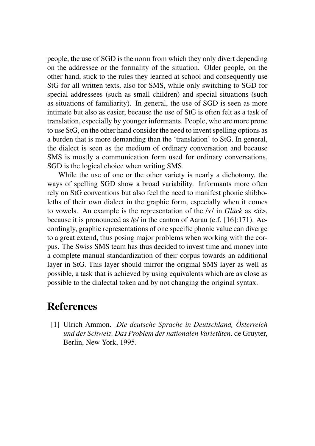people, the use of SGD is the norm from which they only divert depending on the addressee or the formality of the situation. Older people, on the other hand, stick to the rules they learned at school and consequently use StG for all written texts, also for SMS, while only switching to SGD for special addressees (such as small children) and special situations (such as situations of familiarity). In general, the use of SGD is seen as more intimate but also as easier, because the use of StG is often felt as a task of translation, especially by younger informants. People, who are more prone to use StG, on the other hand consider the need to invent spelling options as a burden that is more demanding than the 'translation' to StG. In general, the dialect is seen as the medium of ordinary conversation and because SMS is mostly a communication form used for ordinary conversations, SGD is the logical choice when writing SMS.

While the use of one or the other variety is nearly a dichotomy, the ways of spelling SGD show a broad variability. Informants more often rely on StG conventions but also feel the need to manifest phonic shibboleths of their own dialect in the graphic form, especially when it comes to vowels. An example is the representation of the /Y/ in *Glück* as <ö>, because it is pronounced as /ø/ in the canton of Aarau (c.f. [16]:171). Accordingly, graphic representations of one specific phonic value can diverge to a great extend, thus posing major problems when working with the corpus. The Swiss SMS team has thus decided to invest time and money into a complete manual standardization of their corpus towards an additional layer in StG. This layer should mirror the original SMS layer as well as possible, a task that is achieved by using equivalents which are as close as possible to the dialectal token and by not changing the original syntax.

## **References**

[1] Ulrich Ammon. *Die deutsche Sprache in Deutschland, Österreich und der Schweiz. Das Problem der nationalen Varietäten*. de Gruyter, Berlin, New York, 1995.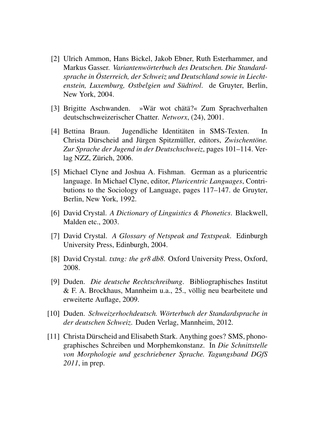- [2] Ulrich Ammon, Hans Bickel, Jakob Ebner, Ruth Esterhammer, and Markus Gasser. *Variantenwörterbuch des Deutschen. Die Standardsprache in Österreich, der Schweiz und Deutschland sowie in Liechtenstein, Luxemburg, Ostbelgien und Südtirol*. de Gruyter, Berlin, New York, 2004.
- [3] Brigitte Aschwanden. »Wär wot chätä?« Zum Sprachverhalten deutschschweizerischer Chatter. *Networx*, (24), 2001.
- [4] Bettina Braun. Jugendliche Identitäten in SMS-Texten. In Christa Dürscheid and Jürgen Spitzmüller, editors, *Zwischentöne. Zur Sprache der Jugend in der Deutschschweiz*, pages 101–114. Verlag NZZ, Zürich, 2006.
- [5] Michael Clyne and Joshua A. Fishman. German as a pluricentric language. In Michael Clyne, editor, *Pluricentric Languages*, Contributions to the Sociology of Language, pages 117–147. de Gruyter, Berlin, New York, 1992.
- [6] David Crystal. *A Dictionary of Linguistics & Phonetics*. Blackwell, Malden etc., 2003.
- [7] David Crystal. *A Glossary of Netspeak and Textspeak*. Edinburgh University Press, Edinburgh, 2004.
- [8] David Crystal. *txtng: the gr8 db8*. Oxford University Press, Oxford, 2008.
- [9] Duden. *Die deutsche Rechtschreibung*. Bibliographisches Institut & F. A. Brockhaus, Mannheim u.a., 25., völlig neu bearbeitete und erweiterte Auflage, 2009.
- [10] Duden. *Schweizerhochdeutsch. Wörterbuch der Standardsprache in der deutschen Schweiz*. Duden Verlag, Mannheim, 2012.
- [11] Christa Dürscheid and Elisabeth Stark. Anything goes? SMS, phonographisches Schreiben und Morphemkonstanz. In *Die Schnittstelle von Morphologie und geschriebener Sprache. Tagungsband DGfS 2011*, in prep.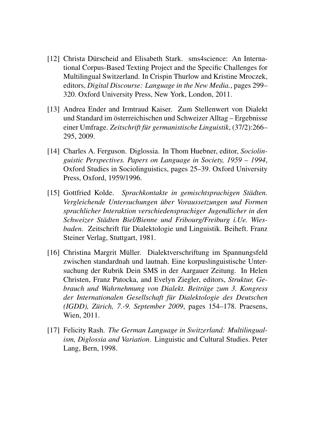- [12] Christa Dürscheid and Elisabeth Stark. sms4science: An International Corpus-Based Texting Project and the Specific Challenges for Multilingual Switzerland. In Crispin Thurlow and Kristine Mroczek, editors, *Digital Discourse: Language in the New Media.*, pages 299– 320. Oxford University Press, New York, London, 2011.
- [13] Andrea Ender and Irmtraud Kaiser. Zum Stellenwert von Dialekt und Standard im österreichischen und Schweizer Alltag – Ergebnisse einer Umfrage. *Zeitschrift für germanistische Linguistik*, (37/2):266– 295, 2009.
- [14] Charles A. Ferguson. Diglossia. In Thom Huebner, editor, *Sociolinguistic Perspectives. Papers on Language in Society, 1959 – 1994*, Oxford Studies in Sociolinguistics, pages 25–39. Oxford University Press, Oxford, 1959/1996.
- [15] Gottfried Kolde. *Sprachkontakte in gemischtsprachigen Städten. Vergleichende Untersuchungen über Voraussetzungen und Formen sprachlicher Interaktion verschiedensprachiger Jugendlicher in den Schweizer Städten Biel/Bienne und Fribourg/Freiburg i.Ue. Wiesbaden*. Zeitschrift für Dialektologie und Linguistik. Beiheft. Franz Steiner Verlag, Stuttgart, 1981.
- [16] Christina Margrit Müller. Dialektverschriftung im Spannungsfeld zwischen standardnah und lautnah. Eine korpuslinguistische Untersuchung der Rubrik Dein SMS in der Aargauer Zeitung. In Helen Christen, Franz Patocka, and Evelyn Ziegler, editors, *Struktur, Gebrauch und Wahrnehmung von Dialekt. Beiträge zum 3. Kongress der Internationalen Gesellschaft für Dialektologie des Deutschen (IGDD), Zürich, 7.-9. September 2009*, pages 154–178. Praesens, Wien, 2011.
- [17] Felicity Rash. *The German Language in Switzerland: Multilingualism, Diglossia and Variation*. Linguistic and Cultural Studies. Peter Lang, Bern, 1998.